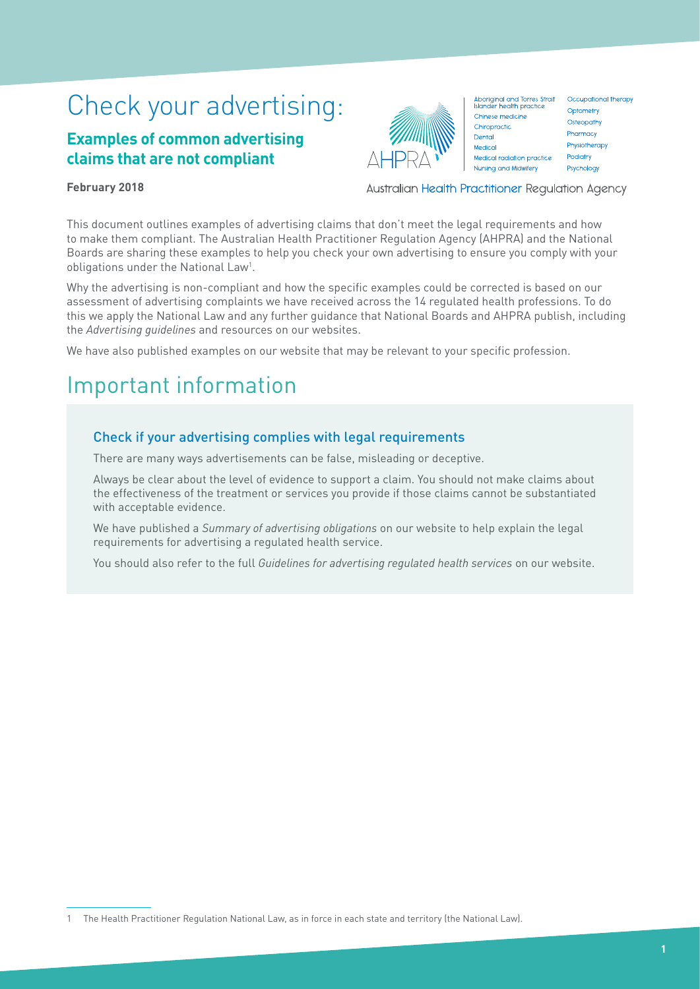# Check your advertising:

# **Examples of common advertising claims that are not compliant**



Aboriginal and Torres Strait Occupational therapy<br>Islander health practice Chinese medicine Chiropractic Dental Medical Medical radiation practice Nursing and Midwifery

Australian Health Practitioner Regulation Agency

Optometry Osteopathy Pharmacy Physiotherapy Podiatry Psychology

## **February 2018**

This document outlines examples of advertising claims that don't meet the legal requirements and how to make them compliant. The Australian Health Practitioner Regulation Agency (AHPRA) and the National Boards are sharing these examples to help you check your own advertising to ensure you comply with your obligations under the National Law<sup>1</sup>.

Why the advertising is non-compliant and how the specific examples could be corrected is based on our assessment of advertising complaints we have received across the 14 regulated health professions. To do this we apply the National Law and any further guidance that National Boards and AHPRA publish, including the *Advertising guidelines* and resources on our websites.

We have also published examples on our website that may be relevant to your specific profession.

# Important information

# Check if your advertising complies with legal requirements

There are many ways advertisements can be false, misleading or deceptive.

Always be clear about the level of evidence to support a claim. You should not make claims about the effectiveness of the treatment or services you provide if those claims cannot be substantiated with acceptable evidence.

We have published a *Summary of advertising obligations* on our website to help explain the legal requirements for advertising a regulated health service.

You should also refer to the full *Guidelines for advertising regulated health services* on our website.

<sup>1</sup> The Health Practitioner Regulation National Law, as in force in each state and territory (the National Law).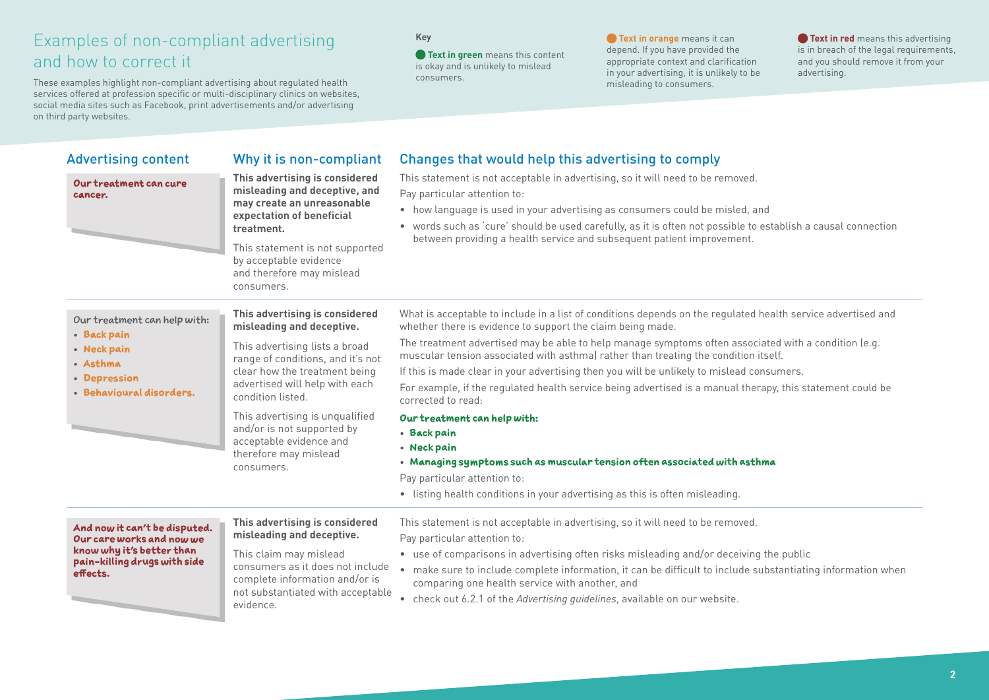These examples highlight non-compliant advertising about regulated health services offered at profession specific or multi-disciplinary clinics on websites, social media sites such as Facebook, print advertisements and/or advertising on third party websites.

### **Key**

**Text in green** means this content is okay and is unlikely to mislead consumers.

**Text in orange** means it can depend. If you have provided the appropriate context and clarification in your advertising, it is unlikely to be misleading to consumers.

**Text in red** means this advertising is in breach of the legal requirements, and you should remove it from your advertising.

| <b>Advertising content</b>                                                                                                          | Why it is non-compliant                                                                                                                                                                                                                          | Changes that would help this advertising to comply                                                                                                                                                                                                                                                                                                                                                                                                       |
|-------------------------------------------------------------------------------------------------------------------------------------|--------------------------------------------------------------------------------------------------------------------------------------------------------------------------------------------------------------------------------------------------|----------------------------------------------------------------------------------------------------------------------------------------------------------------------------------------------------------------------------------------------------------------------------------------------------------------------------------------------------------------------------------------------------------------------------------------------------------|
| Our treatment can cure<br>cancer.                                                                                                   | This advertising is considered<br>misleading and deceptive, and<br>may create an unreasonable<br>expectation of beneficial<br>treatment.<br>This statement is not supported<br>by acceptable evidence<br>and therefore may mislead<br>consumers. | This statement is not acceptable in advertising, so it will need to be removed.<br>Pay particular attention to:<br>• how language is used in your advertising as consumers could be misled, and<br>• words such as 'cure' should be used carefully, as it is often not possible to establish a causal connection<br>between providing a health service and subsequent patient improvement.                                                               |
| Our treatment can help with:<br>• Back pain<br>• Neck pain<br>· Asthma<br>• Depression<br>· Behavioural disorders.                  | This advertising is considered<br>misleading and deceptive.<br>This advertising lists a broad                                                                                                                                                    | What is acceptable to include in a list of conditions depends on the regulated health service advertised and<br>whether there is evidence to support the claim being made.<br>The treatment advertised may be able to help manage symptoms often associated with a condition (e.g.                                                                                                                                                                       |
|                                                                                                                                     | range of conditions, and it's not<br>clear how the treatment being<br>advertised will help with each<br>condition listed.                                                                                                                        | muscular tension associated with asthma) rather than treating the condition itself.<br>If this is made clear in your advertising then you will be unlikely to mislead consumers.<br>For example, if the regulated health service being advertised is a manual therapy, this statement could be<br>corrected to read:                                                                                                                                     |
|                                                                                                                                     | This advertising is unqualified<br>and/or is not supported by<br>acceptable evidence and<br>therefore may mislead<br>consumers.                                                                                                                  | Our treatment can help with:<br>• Back pain<br>• Neck pain<br>. Managing symptoms such as muscular tension often associated with asthma<br>Pay particular attention to:<br>• listing health conditions in your advertising as this is often misleading.                                                                                                                                                                                                  |
| And now it can't be disputed.<br>Our care works and now we<br>know why it's better than<br>pain-killing drugs with side<br>effects. | This advertising is considered<br>misleading and deceptive.<br>This claim may mislead<br>consumers as it does not include<br>complete information and/or is<br>not substantiated with acceptable<br>evidence.                                    | This statement is not acceptable in advertising, so it will need to be removed.<br>Pay particular attention to:<br>• use of comparisons in advertising often risks misleading and/or deceiving the public<br>• make sure to include complete information, it can be difficult to include substantiating information when<br>comparing one health service with another, and<br>• check out 6.2.1 of the Advertising quidelines, available on our website. |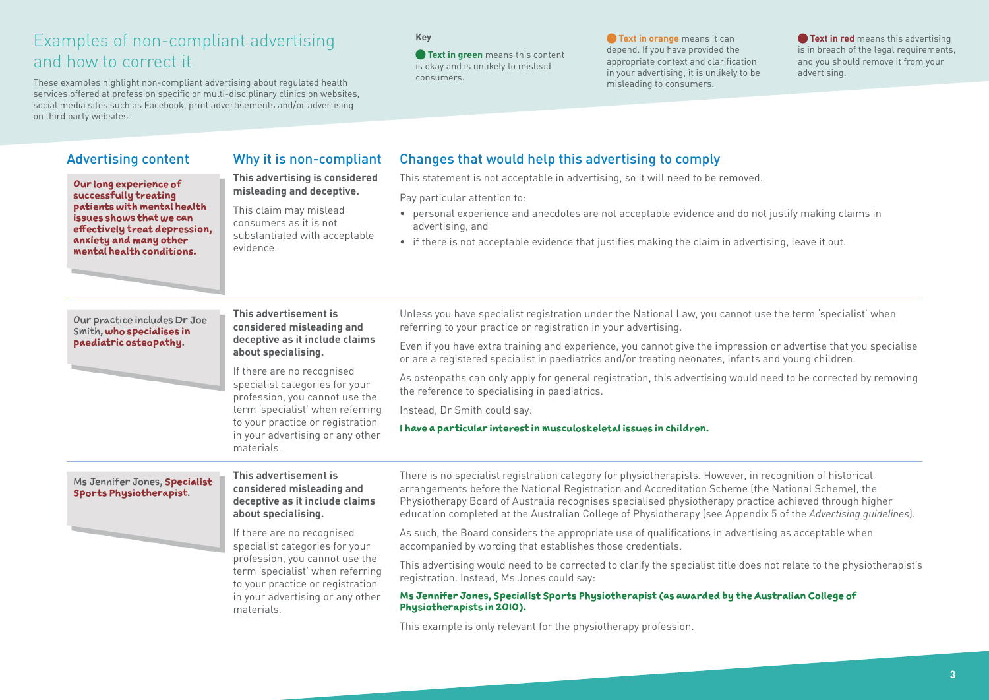These examples highlight non-compliant advertising about regulated health services offered at profession specific or multi-disciplinary clinics on websites, social media sites such as Facebook, print advertisements and/or advertising on third party websites.

### **Key**

**• Text in green** means this content is okay and is unlikely to mislead consumers.

**• Text in orange** means it can depend. If you have provided the appropriate context and clarification in your advertising, it is unlikely to be misleading to consumers.

**• Text in red** means this advertising is in breach of the legal requirements, and you should remove it from your advertising.

**Our long experience of successfully treating patients with mental health issues shows that we can effectively treat depression, anxiety and many other mental health conditions.**

### Advertising content Why it is non-compliant Changes that would help this advertising to comply

This statement is not acceptable in advertising, so it will need to be removed.

Pay particular attention to:

- personal experience and anecdotes are not acceptable evidence and do not justify making claims in advertising, and
- if there is not acceptable evidence that justifies making the claim in advertising, leave it out.

#### Our practice includes Dr Joe Smith, **who specialises in paediatric osteopathy**.

**This advertisement is considered misleading and deceptive as it include claims about specialising.**

**This advertising is considered misleading and deceptive.** This claim may mislead consumers as it is not substantiated with acceptable

evidence.

If there are no recognised specialist categories for your profession, you cannot use the term 'specialist' when referring to your practice or registration in your advertising or any other materials.

Unless you have specialist registration under the National Law, you cannot use the term 'specialist' when referring to your practice or registration in your advertising.

Even if you have extra training and experience, you cannot give the impression or advertise that you specialise or are a registered specialist in paediatrics and/or treating neonates, infants and young children.

As osteopaths can only apply for general registration, this advertising would need to be corrected by removing the reference to specialising in paediatrics.

Instead, Dr Smith could say:

**I have a particular interest in musculoskeletal issues in children.** 

#### Ms Jennifer Jones, **Specialist Sports Physiotherapist**.

**This advertisement is considered misleading and deceptive as it include claims about specialising.**

If there are no recognised specialist categories for your profession, you cannot use the term 'specialist' when referring to your practice or registration in your advertising or any other materials.

There is no specialist registration category for physiotherapists. However, in recognition of historical arrangements before the National Registration and Accreditation Scheme (the National Scheme), the Physiotherapy Board of Australia recognises specialised physiotherapy practice achieved through higher education completed at the Australian College of Physiotherapy (see Appendix 5 of the *Advertising guidelines*).

As such, the Board considers the appropriate use of qualifications in advertising as acceptable when accompanied by wording that establishes those credentials.

This advertising would need to be corrected to clarify the specialist title does not relate to the physiotherapist's registration. Instead, Ms Jones could say:

### **Ms Jennifer Jones, Specialist Sports Physiotherapist (as awarded by the Australian College of Physiotherapists in 2010).**

This example is only relevant for the physiotherapy profession.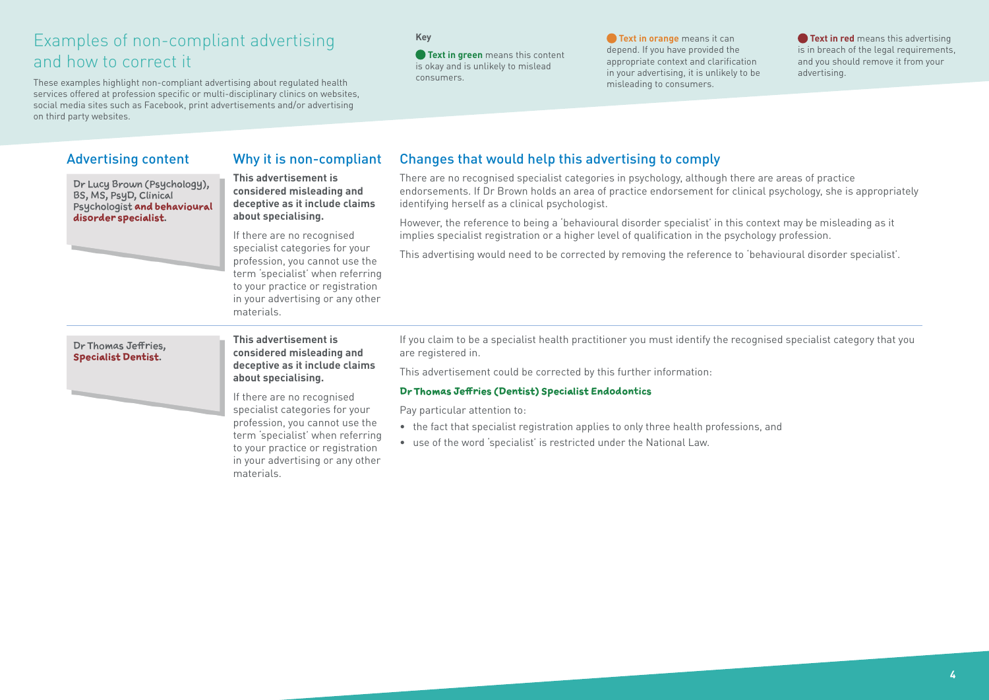These examples highlight non-compliant advertising about regulated health services offered at profession specific or multi-disciplinary clinics on websites, social media sites such as Facebook, print advertisements and/or advertising on third party websites.

### **Key**

**• Text in green** means this content is okay and is unlikely to mislead consumers.

**• Text in orange** means it can depend. If you have provided the appropriate context and clarification in your advertising, it is unlikely to be misleading to consumers.

**• Text in red** means this advertising is in breach of the legal requirements, and you should remove it from your advertising.

## Advertising content Why it is non-compliant Changes that would help this advertising to comply

Dr Lucy Brown (Psychology), BS, MS, PsyD, Clinical Psychologist **and behavioural disorder specialist**.

**This advertisement is considered misleading and deceptive as it include claims about specialising.**

If there are no recognised specialist categories for your profession, you cannot use the term 'specialist' when referring to your practice or registration in your advertising or any other materials.

There are no recognised specialist categories in psychology, although there are areas of practice endorsements. If Dr Brown holds an area of practice endorsement for clinical psychology, she is appropriately identifying herself as a clinical psychologist.

However, the reference to being a 'behavioural disorder specialist' in this context may be misleading as it implies specialist registration or a higher level of qualification in the psychology profession.

This advertising would need to be corrected by removing the reference to 'behavioural disorder specialist'.

#### Dr Thomas Jeffries, **Specialist Dentist**.

**This advertisement is considered misleading and deceptive as it include claims about specialising.**

If there are no recognised specialist categories for your profession, you cannot use the term 'specialist' when referring to your practice or registration in your advertising or any other materials.

If you claim to be a specialist health practitioner you must identify the recognised specialist category that you are registered in.

This advertisement could be corrected by this further information:

### **Dr Thomas Jeffries (Dentist) Specialist Endodontics**

Pay particular attention to:

- the fact that specialist registration applies to only three health professions, and
- use of the word 'specialist' is restricted under the National Law.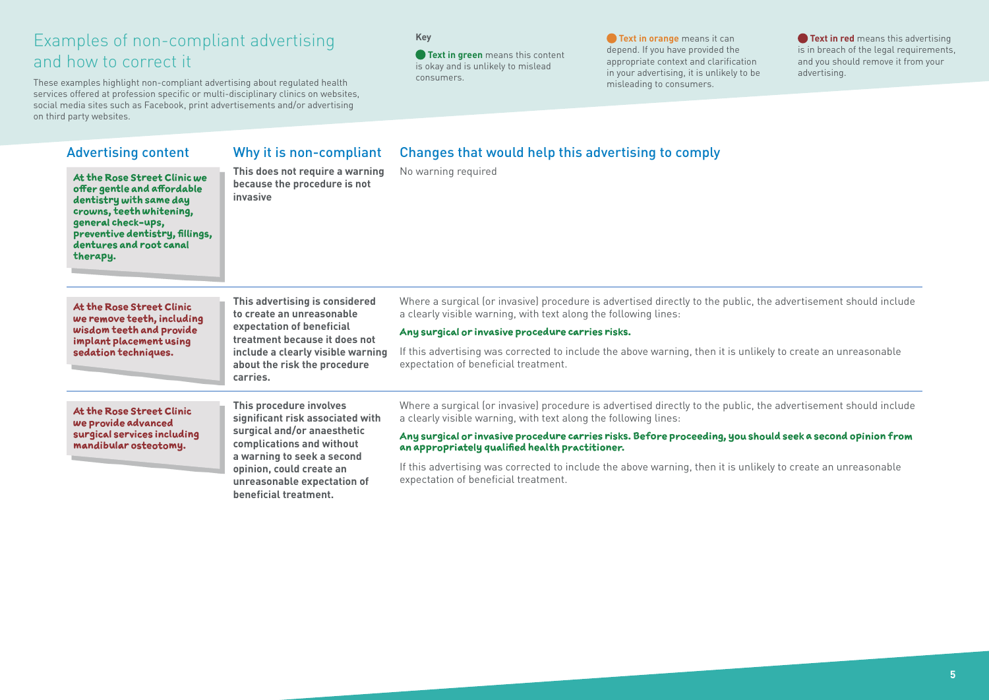These examples highlight non-compliant advertising about regulated health services offered at profession specific or multi-disciplinary clinics on websites, social media sites such as Facebook, print advertisements and/or advertising on third party websites.

**beneficial treatment.**

### **Key**

**Text in green** means this content is okay and is unlikely to mislead consumers.

**Text in orange** means it can depend. If you have provided the appropriate context and clarification in your advertising, it is unlikely to be misleading to consumers.

**Text in red** means this advertising is in breach of the legal requirements, and you should remove it from your advertising.

| <b>Advertising content</b>                                                                                                                                                                                         | Why it is non-compliant                                                                                                                                                                                          | Changes that would help this advertising to comply<br>No warning required                                                                                                                                                                                                                                                                                                                                                                                                                                    |
|--------------------------------------------------------------------------------------------------------------------------------------------------------------------------------------------------------------------|------------------------------------------------------------------------------------------------------------------------------------------------------------------------------------------------------------------|--------------------------------------------------------------------------------------------------------------------------------------------------------------------------------------------------------------------------------------------------------------------------------------------------------------------------------------------------------------------------------------------------------------------------------------------------------------------------------------------------------------|
| At the Rose Street Clinic we<br>offer gentle and affordable<br>dentistry with same day<br>crowns, teeth whitening,<br>general check-ups,<br>preventive dentistry, fillings,<br>dentures and root canal<br>therapy. | This does not require a warning<br>because the procedure is not<br>invasive                                                                                                                                      |                                                                                                                                                                                                                                                                                                                                                                                                                                                                                                              |
| At the Rose Street Clinic<br>we remove teeth, including<br>wisdom teeth and provide<br>implant placement using<br>sedation techniques.                                                                             | This advertising is considered<br>to create an unreasonable<br>expectation of beneficial<br>treatment because it does not<br>include a clearly visible warning<br>about the risk the procedure<br>carries.       | Where a surgical (or invasive) procedure is advertised directly to the public, the advertisement should include<br>a clearly visible warning, with text along the following lines:<br>Any surgical or invasive procedure carries risks.<br>If this advertising was corrected to include the above warning, then it is unlikely to create an unreasonable<br>expectation of beneficial treatment.                                                                                                             |
| At the Rose Street Clinic<br>we provide advanced<br>surgical services including<br>mandibular osteotomy.                                                                                                           | This procedure involves<br>significant risk associated with<br>surgical and/or anaesthetic<br>complications and without<br>a warning to seek a second<br>opinion, could create an<br>unreasonable expectation of | Where a surgical (or invasive) procedure is advertised directly to the public, the advertisement should include<br>a clearly visible warning, with text along the following lines:<br>Any surgical or invasive procedure carries risks. Before proceeding, you should seek a second opinion from<br>an appropriately qualified health practitioner.<br>If this advertising was corrected to include the above warning, then it is unlikely to create an unreasonable<br>expectation of beneficial treatment. |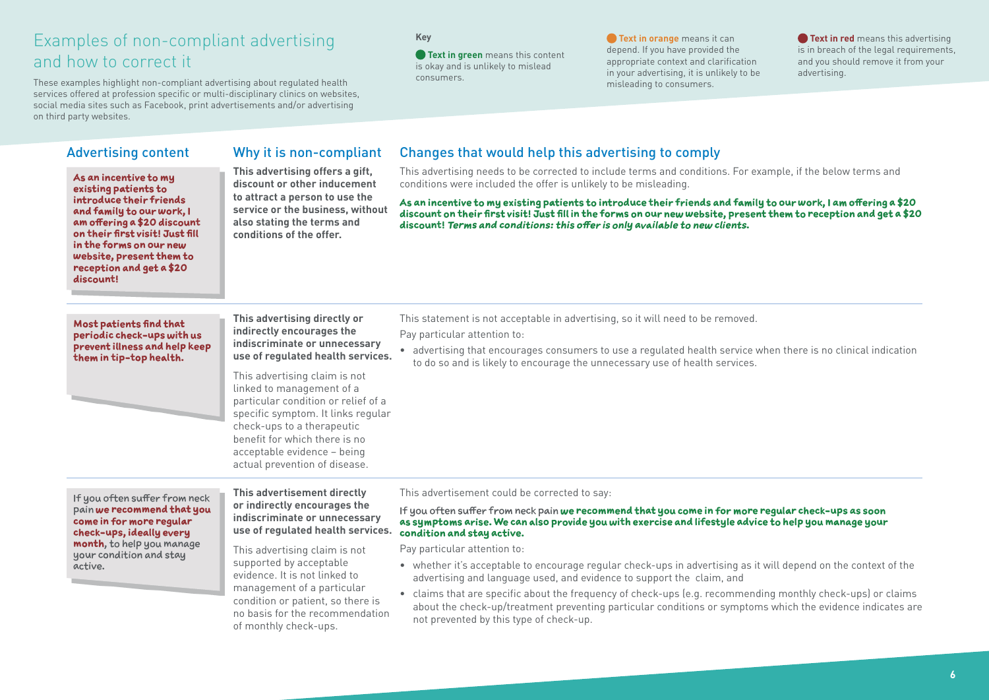These examples highlight non-compliant advertising about regulated health services offered at profession specific or multi-disciplinary clinics on websites, social media sites such as Facebook, print advertisements and/or advertising on third party websites.

#### **Key**

**• Text in green** means this content is okay and is unlikely to mislead consumers.

**• Text in orange** means it can depend. If you have provided the appropriate context and clarification in your advertising, it is unlikely to be misleading to consumers.

**• Text in red** means this advertising is in breach of the legal requirements, and you should remove it from your advertising.

**As an incentive to my existing patients to introduce their friends and family to our work, I am offering a \$20 discount on their first visit! Just fill in the forms on our new website, present them to reception and get a \$20 discount!**

**This advertising offers a gift, discount or other inducement to attract a person to use the service or the business, without also stating the terms and conditions of the offer.**

## Advertising content Why it is non-compliant Changes that would help this advertising to comply

This advertising needs to be corrected to include terms and conditions. For example, if the below terms and conditions were included the offer is unlikely to be misleading.

**As an incentive to my existing patients to introduce their friends and family to our work, I am offering a \$20 discount on their first visit! Just fill in the forms on our new website, present them to reception and get a \$20 discount! Terms and conditions: this offer is only available to new clients.** 

#### **Most patients find that periodic check-ups with us prevent illness and help keep them in tip-top health.**



**This advertising directly or indirectly encourages the indiscriminate or unnecessary use of regulated health services.**

This advertising claim is not linked to management of a particular condition or relief of a specific symptom. It links regular check-ups to a therapeutic benefit for which there is no acceptable evidence – being actual prevention of disease.

This statement is not acceptable in advertising, so it will need to be removed.

Pay particular attention to:

• advertising that encourages consumers to use a regulated health service when there is no clinical indication to do so and is likely to encourage the unnecessary use of health services.

If you often suffer from neck pain **we recommend that you come in for more regular check-ups, ideally every month**, to help you manage your condition and stay active.

**This advertisement directly or indirectly encourages the indiscriminate or unnecessary use of regulated health services.**

This advertising claim is not supported by acceptable evidence. It is not linked to management of a particular condition or patient, so there is no basis for the recommendation of monthly check-ups.

This advertisement could be corrected to say:

If you often suffer from neck pain **we recommend that you come in for more regular check-ups as soon as symptoms arise. We can also provide you with exercise and lifestyle advice to help you manage your condition and stay active.**

Pay particular attention to:

- whether it's acceptable to encourage regular check-ups in advertising as it will depend on the context of the advertising and language used, and evidence to support the claim, and
- claims that are specific about the frequency of check-ups (e.g. recommending monthly check-ups) or claims about the check-up/treatment preventing particular conditions or symptoms which the evidence indicates are not prevented by this type of check-up.